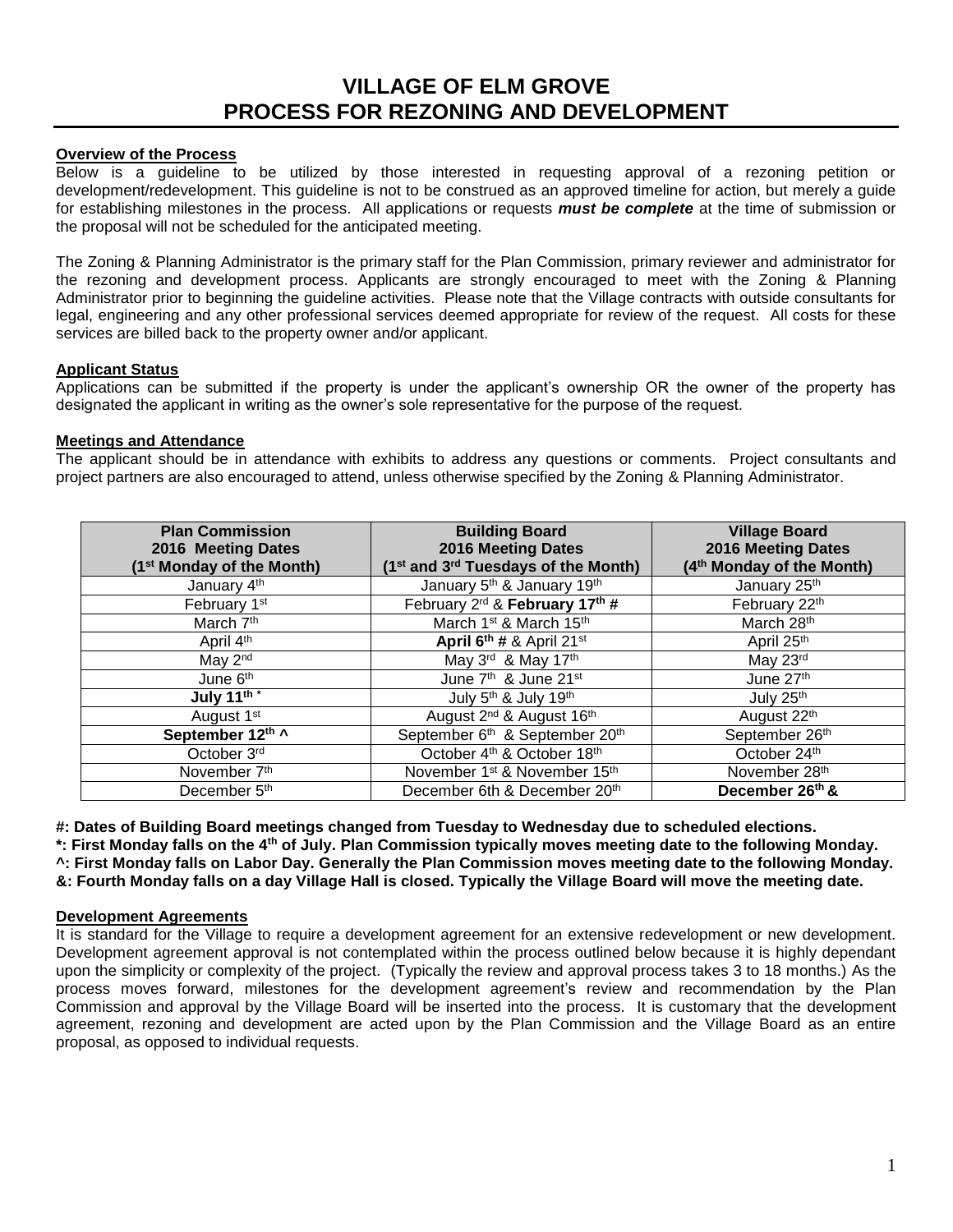# **VILLAGE OF ELM GROVE PROCESS FOR REZONING AND DEVELOPMENT**

# **Overview of the Process**

Below is a guideline to be utilized by those interested in requesting approval of a rezoning petition or development/redevelopment. This guideline is not to be construed as an approved timeline for action, but merely a guide for establishing milestones in the process. All applications or requests *must be complete* at the time of submission or the proposal will not be scheduled for the anticipated meeting.

The Zoning & Planning Administrator is the primary staff for the Plan Commission, primary reviewer and administrator for the rezoning and development process. Applicants are strongly encouraged to meet with the Zoning & Planning Administrator prior to beginning the guideline activities. Please note that the Village contracts with outside consultants for legal, engineering and any other professional services deemed appropriate for review of the request. All costs for these services are billed back to the property owner and/or applicant.

## **Applicant Status**

Applications can be submitted if the property is under the applicant's ownership OR the owner of the property has designated the applicant in writing as the owner's sole representative for the purpose of the request.

## **Meetings and Attendance**

The applicant should be in attendance with exhibits to address any questions or comments. Project consultants and project partners are also encouraged to attend, unless otherwise specified by the Zoning & Planning Administrator.

| <b>Plan Commission</b><br>2016 Meeting Dates<br>(1 <sup>st</sup> Monday of the Month) | <b>Building Board</b><br>2016 Meeting Dates<br>(1 <sup>st</sup> and 3 <sup>rd</sup> Tuesdays of the Month) | <b>Village Board</b><br>2016 Meeting Dates<br>(4 <sup>th</sup> Monday of the Month) |
|---------------------------------------------------------------------------------------|------------------------------------------------------------------------------------------------------------|-------------------------------------------------------------------------------------|
| January 4th                                                                           | January 5 <sup>th</sup> & January 19 <sup>th</sup>                                                         | January 25th                                                                        |
| February 1st                                                                          | February 2rd & February 17th #                                                                             | February 22th                                                                       |
| March 7 <sup>th</sup>                                                                 | March 1 <sup>st</sup> & March 15 <sup>th</sup>                                                             | March 28th                                                                          |
| April 4th                                                                             | April $6^{th}$ # & April 21st                                                                              | April 25th                                                                          |
| May 2 <sup>nd</sup>                                                                   | May 3rd & May 17th                                                                                         | May 23rd                                                                            |
| June 6 <sup>th</sup>                                                                  | June 7 <sup>th</sup> & June 21st                                                                           | June 27th                                                                           |
| July $1^{\frac{1}{1}}$                                                                | July 5th & July 19th                                                                                       | July 25th                                                                           |
| August 1 <sup>st</sup>                                                                | August 2 <sup>nd</sup> & August 16 <sup>th</sup>                                                           | August 22th                                                                         |
| September 12th ^                                                                      | September 6 <sup>th</sup> & September 20 <sup>th</sup>                                                     | September 26th                                                                      |
| October 3rd                                                                           | October 4th & October 18th                                                                                 | October 24th                                                                        |
| November 7 <sup>th</sup>                                                              | November 1 <sup>st</sup> & November 15 <sup>th</sup>                                                       | November 28th                                                                       |
| December 5 <sup>th</sup>                                                              | December 6th & December 20th                                                                               | December 26th &                                                                     |

**#: Dates of Building Board meetings changed from Tuesday to Wednesday due to scheduled elections.** 

**\*: First Monday falls on the 4th of July. Plan Commission typically moves meeting date to the following Monday. ^: First Monday falls on Labor Day. Generally the Plan Commission moves meeting date to the following Monday.**

**&: Fourth Monday falls on a day Village Hall is closed. Typically the Village Board will move the meeting date.** 

#### **Development Agreements**

It is standard for the Village to require a development agreement for an extensive redevelopment or new development. Development agreement approval is not contemplated within the process outlined below because it is highly dependant upon the simplicity or complexity of the project. (Typically the review and approval process takes 3 to 18 months.) As the process moves forward, milestones for the development agreement's review and recommendation by the Plan Commission and approval by the Village Board will be inserted into the process. It is customary that the development agreement, rezoning and development are acted upon by the Plan Commission and the Village Board as an entire proposal, as opposed to individual requests.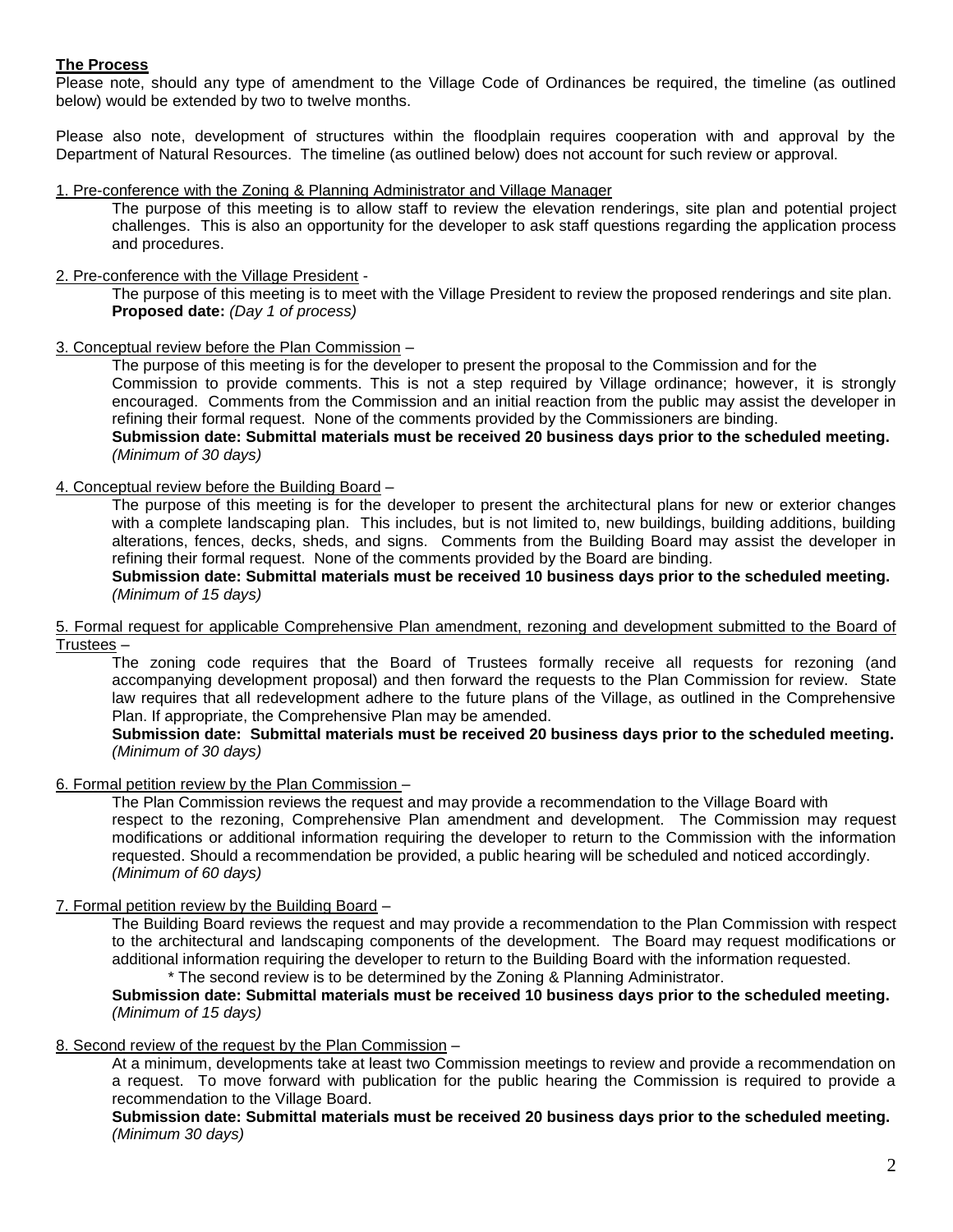# **The Process**

Please note, should any type of amendment to the Village Code of Ordinances be required, the timeline (as outlined below) would be extended by two to twelve months.

Please also note, development of structures within the floodplain requires cooperation with and approval by the Department of Natural Resources. The timeline (as outlined below) does not account for such review or approval.

1. Pre-conference with the Zoning & Planning Administrator and Village Manager

The purpose of this meeting is to allow staff to review the elevation renderings, site plan and potential project challenges. This is also an opportunity for the developer to ask staff questions regarding the application process and procedures.

2. Pre-conference with the Village President -

The purpose of this meeting is to meet with the Village President to review the proposed renderings and site plan. **Proposed date:** *(Day 1 of process)*

3. Conceptual review before the Plan Commission –

The purpose of this meeting is for the developer to present the proposal to the Commission and for the Commission to provide comments. This is not a step required by Village ordinance; however, it is strongly encouraged. Comments from the Commission and an initial reaction from the public may assist the developer in refining their formal request. None of the comments provided by the Commissioners are binding. **Submission date: Submittal materials must be received 20 business days prior to the scheduled meeting.** *(Minimum of 30 days)*

## 4. Conceptual review before the Building Board –

The purpose of this meeting is for the developer to present the architectural plans for new or exterior changes with a complete landscaping plan. This includes, but is not limited to, new buildings, building additions, building alterations, fences, decks, sheds, and signs. Comments from the Building Board may assist the developer in refining their formal request. None of the comments provided by the Board are binding.

**Submission date: Submittal materials must be received 10 business days prior to the scheduled meeting.** *(Minimum of 15 days)*

5. Formal request for applicable Comprehensive Plan amendment, rezoning and development submitted to the Board of Trustees –

The zoning code requires that the Board of Trustees formally receive all requests for rezoning (and accompanying development proposal) and then forward the requests to the Plan Commission for review. State law requires that all redevelopment adhere to the future plans of the Village, as outlined in the Comprehensive Plan. If appropriate, the Comprehensive Plan may be amended.

#### **Submission date: Submittal materials must be received 20 business days prior to the scheduled meeting.** *(Minimum of 30 days)*

#### 6. Formal petition review by the Plan Commission –

The Plan Commission reviews the request and may provide a recommendation to the Village Board with respect to the rezoning, Comprehensive Plan amendment and development. The Commission may request modifications or additional information requiring the developer to return to the Commission with the information requested. Should a recommendation be provided, a public hearing will be scheduled and noticed accordingly. *(Minimum of 60 days)*

### 7. Formal petition review by the Building Board –

The Building Board reviews the request and may provide a recommendation to the Plan Commission with respect to the architectural and landscaping components of the development. The Board may request modifications or additional information requiring the developer to return to the Building Board with the information requested. \* The second review is to be determined by the Zoning & Planning Administrator.

#### **Submission date: Submittal materials must be received 10 business days prior to the scheduled meeting.** *(Minimum of 15 days)*

#### 8. Second review of the request by the Plan Commission –

At a minimum, developments take at least two Commission meetings to review and provide a recommendation on a request. To move forward with publication for the public hearing the Commission is required to provide a recommendation to the Village Board.

**Submission date: Submittal materials must be received 20 business days prior to the scheduled meeting.** *(Minimum 30 days)*